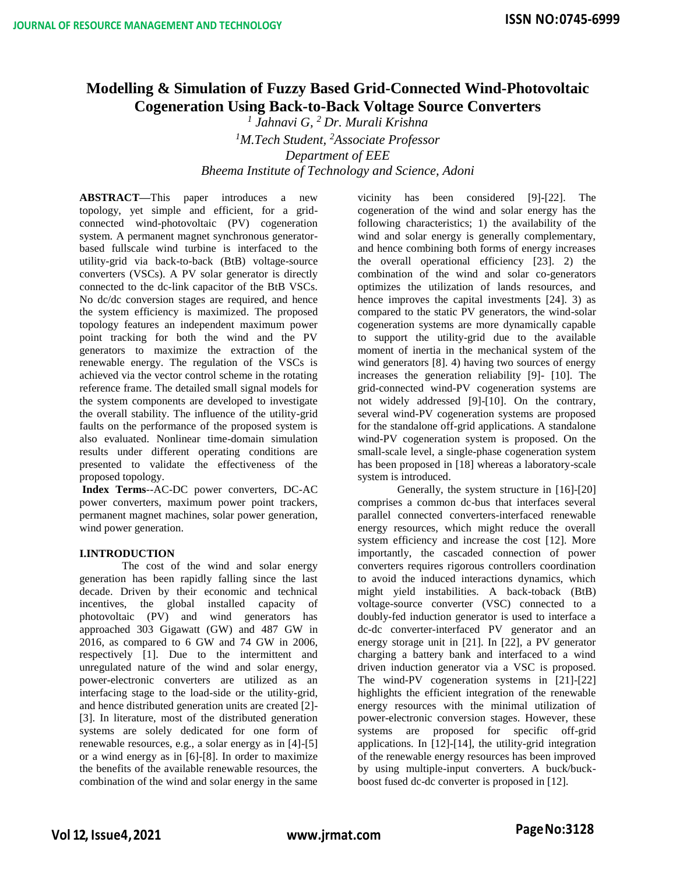# **Modelling & Simulation of Fuzzy Based Grid-Connected Wind-Photovoltaic Cogeneration Using Back-to-Back Voltage Source Converters**

*1 Jahnavi G, <sup>2</sup> Dr. Murali Krishna*

*<sup>1</sup>M.Tech Student, <sup>2</sup>Associate Professor Department of EEE Bheema Institute of Technology and Science, Adoni*

**ABSTRACT—**This paper introduces a new topology, yet simple and efficient, for a gridconnected wind-photovoltaic (PV) cogeneration system. A permanent magnet synchronous generatorbased fullscale wind turbine is interfaced to the utility-grid via back-to-back (BtB) voltage-source converters (VSCs). A PV solar generator is directly connected to the dc-link capacitor of the BtB VSCs. No dc/dc conversion stages are required, and hence the system efficiency is maximized. The proposed topology features an independent maximum power point tracking for both the wind and the PV generators to maximize the extraction of the renewable energy. The regulation of the VSCs is achieved via the vector control scheme in the rotating reference frame. The detailed small signal models for the system components are developed to investigate the overall stability. The influence of the utility-grid faults on the performance of the proposed system is also evaluated. Nonlinear time-domain simulation results under different operating conditions are presented to validate the effectiveness of the proposed topology.

**Index Terms**--AC-DC power converters, DC-AC power converters, maximum power point trackers, permanent magnet machines, solar power generation, wind power generation.

#### **I.INTRODUCTION**

The cost of the wind and solar energy generation has been rapidly falling since the last decade. Driven by their economic and technical incentives, the global installed capacity of photovoltaic (PV) and wind generators has approached 303 Gigawatt (GW) and 487 GW in 2016, as compared to 6 GW and 74 GW in 2006, respectively [1]. Due to the intermittent and unregulated nature of the wind and solar energy, power-electronic converters are utilized as an interfacing stage to the load-side or the utility-grid, and hence distributed generation units are created [2]- [3]. In literature, most of the distributed generation systems are solely dedicated for one form of renewable resources, e.g., a solar energy as in [4]-[5] or a wind energy as in [6]-[8]. In order to maximize the benefits of the available renewable resources, the combination of the wind and solar energy in the same

vicinity has been considered [9]-[22]. The cogeneration of the wind and solar energy has the following characteristics; 1) the availability of the wind and solar energy is generally complementary, and hence combining both forms of energy increases the overall operational efficiency [23]. 2) the combination of the wind and solar co-generators optimizes the utilization of lands resources, and hence improves the capital investments [24]. 3) as compared to the static PV generators, the wind-solar cogeneration systems are more dynamically capable to support the utility-grid due to the available moment of inertia in the mechanical system of the wind generators [8]. 4) having two sources of energy increases the generation reliability [9]- [10]. The grid-connected wind-PV cogeneration systems are not widely addressed [9]-[10]. On the contrary, several wind-PV cogeneration systems are proposed for the standalone off-grid applications. A standalone wind-PV cogeneration system is proposed. On the small-scale level, a single-phase cogeneration system has been proposed in [18] whereas a laboratory-scale system is introduced.

Generally, the system structure in [16]-[20] comprises a common dc-bus that interfaces several parallel connected converters-interfaced renewable energy resources, which might reduce the overall system efficiency and increase the cost [12]. More importantly, the cascaded connection of power converters requires rigorous controllers coordination to avoid the induced interactions dynamics, which might yield instabilities. A back-toback (BtB) voltage-source converter (VSC) connected to a doubly-fed induction generator is used to interface a dc-dc converter-interfaced PV generator and an energy storage unit in [21]. In [22], a PV generator charging a battery bank and interfaced to a wind driven induction generator via a VSC is proposed. The wind-PV cogeneration systems in [21]-[22] highlights the efficient integration of the renewable energy resources with the minimal utilization of power-electronic conversion stages. However, these systems are proposed for specific off-grid applications. In [12]-[14], the utility-grid integration of the renewable energy resources has been improved by using multiple-input converters. A buck/buckboost fused dc-dc converter is proposed in [12].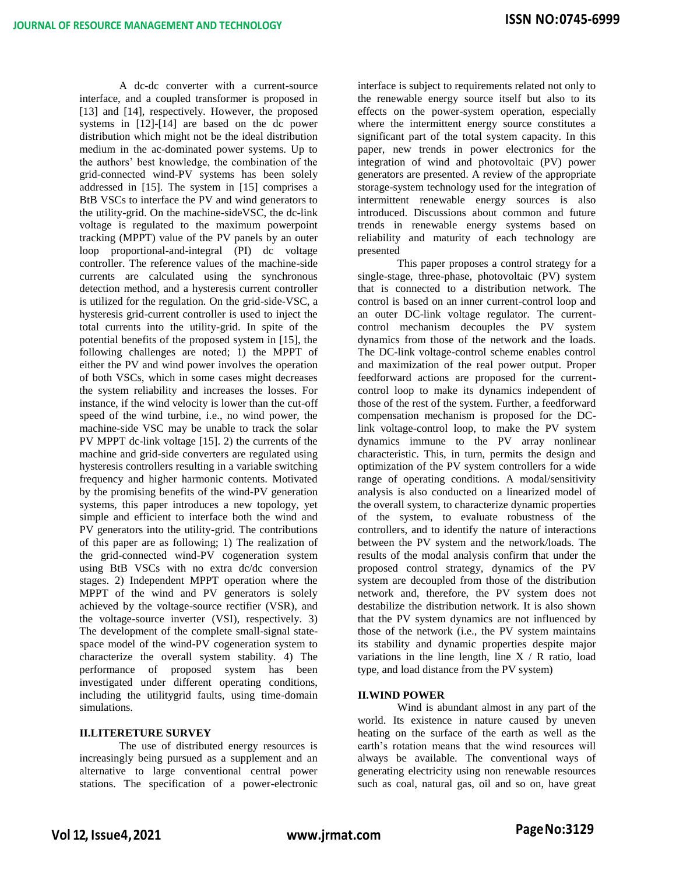A dc-dc converter with a current-source interface, and a coupled transformer is proposed in [13] and [14], respectively. However, the proposed systems in [12]-[14] are based on the dc power distribution which might not be the ideal distribution medium in the ac-dominated power systems. Up to the authors' best knowledge, the combination of the grid-connected wind-PV systems has been solely addressed in [15]. The system in [15] comprises a BtB VSCs to interface the PV and wind generators to the utility-grid. On the machine-sideVSC, the dc-link voltage is regulated to the maximum powerpoint tracking (MPPT) value of the PV panels by an outer loop proportional-and-integral (PI) dc voltage controller. The reference values of the machine-side currents are calculated using the synchronous detection method, and a hysteresis current controller is utilized for the regulation. On the grid-side-VSC, a hysteresis grid-current controller is used to inject the total currents into the utility-grid. In spite of the potential benefits of the proposed system in [15], the following challenges are noted; 1) the MPPT of either the PV and wind power involves the operation of both VSCs, which in some cases might decreases the system reliability and increases the losses. For instance, if the wind velocity is lower than the cut-off speed of the wind turbine, i.e., no wind power, the machine-side VSC may be unable to track the solar PV MPPT dc-link voltage [15]. 2) the currents of the machine and grid-side converters are regulated using hysteresis controllers resulting in a variable switching frequency and higher harmonic contents. Motivated by the promising benefits of the wind-PV generation systems, this paper introduces a new topology, yet simple and efficient to interface both the wind and PV generators into the utility-grid. The contributions of this paper are as following; 1) The realization of the grid-connected wind-PV cogeneration system using BtB VSCs with no extra dc/dc conversion stages. 2) Independent MPPT operation where the MPPT of the wind and PV generators is solely achieved by the voltage-source rectifier (VSR), and the voltage-source inverter (VSI), respectively. 3) The development of the complete small-signal statespace model of the wind-PV cogeneration system to characterize the overall system stability. 4) The performance of proposed system has been investigated under different operating conditions, including the utilitygrid faults, using time-domain simulations.

### **II.LITERETURE SURVEY**

The use of distributed energy resources is increasingly being pursued as a supplement and an alternative to large conventional central power stations. The specification of a power-electronic interface is subject to requirements related not only to the renewable energy source itself but also to its effects on the power-system operation, especially where the intermittent energy source constitutes a significant part of the total system capacity. In this paper, new trends in power electronics for the integration of wind and photovoltaic (PV) power generators are presented. A review of the appropriate storage-system technology used for the integration of intermittent renewable energy sources is also introduced. Discussions about common and future trends in renewable energy systems based on reliability and maturity of each technology are presented

This paper proposes a control strategy for a single-stage, three-phase, photovoltaic (PV) system that is connected to a distribution network. The control is based on an inner current-control loop and an outer DC-link voltage regulator. The currentcontrol mechanism decouples the PV system dynamics from those of the network and the loads. The DC-link voltage-control scheme enables control and maximization of the real power output. Proper feedforward actions are proposed for the currentcontrol loop to make its dynamics independent of those of the rest of the system. Further, a feedforward compensation mechanism is proposed for the DClink voltage-control loop, to make the PV system dynamics immune to the PV array nonlinear characteristic. This, in turn, permits the design and optimization of the PV system controllers for a wide range of operating conditions. A modal/sensitivity analysis is also conducted on a linearized model of the overall system, to characterize dynamic properties of the system, to evaluate robustness of the controllers, and to identify the nature of interactions between the PV system and the network/loads. The results of the modal analysis confirm that under the proposed control strategy, dynamics of the PV system are decoupled from those of the distribution network and, therefore, the PV system does not destabilize the distribution network. It is also shown that the PV system dynamics are not influenced by those of the network (i.e., the PV system maintains its stability and dynamic properties despite major variations in the line length, line  $X / R$  ratio, load type, and load distance from the PV system)

#### **II.WIND POWER**

Wind is abundant almost in any part of the world. Its existence in nature caused by uneven heating on the surface of the earth as well as the earth's rotation means that the wind resources will always be available. The conventional ways of generating electricity using non renewable resources such as coal, natural gas, oil and so on, have great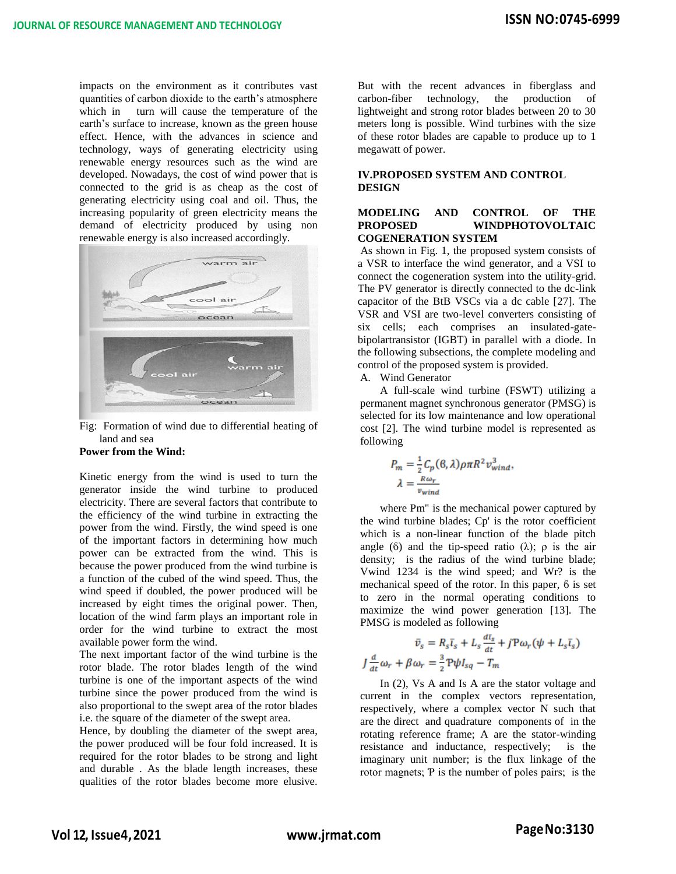impacts on the environment as it contributes vast quantities of carbon dioxide to the earth's atmosphere which in turn will cause the temperature of the earth's surface to increase, known as the green house effect. Hence, with the advances in science and technology, ways of generating electricity using renewable energy resources such as the wind are developed. Nowadays, the cost of wind power that is connected to the grid is as cheap as the cost of generating electricity using coal and oil. Thus, the increasing popularity of green electricity means the demand of electricity produced by using non renewable energy is also increased accordingly.



Fig: Formation of wind due to differential heating of land and sea

#### **Power from the Wind:**

Kinetic energy from the wind is used to turn the generator inside the wind turbine to produced electricity. There are several factors that contribute to the efficiency of the wind turbine in extracting the power from the wind. Firstly, the wind speed is one of the important factors in determining how much power can be extracted from the wind. This is because the power produced from the wind turbine is a function of the cubed of the wind speed. Thus, the wind speed if doubled, the power produced will be increased by eight times the original power. Then, location of the wind farm plays an important role in order for the wind turbine to extract the most available power form the wind.

The next important factor of the wind turbine is the rotor blade. The rotor blades length of the wind turbine is one of the important aspects of the wind turbine since the power produced from the wind is also proportional to the swept area of the rotor blades i.e. the square of the diameter of the swept area.

Hence, by doubling the diameter of the swept area, the power produced will be four fold increased. It is required for the rotor blades to be strong and light and durable . As the blade length increases, these qualities of the rotor blades become more elusive.

But with the recent advances in fiberglass and carbon-fiber technology, the production of lightweight and strong rotor blades between 20 to 30 meters long is possible. Wind turbines with the size of these rotor blades are capable to produce up to 1 megawatt of power.

### **IV.PROPOSED SYSTEM AND CONTROL DESIGN**

#### **MODELING AND CONTROL OF THE PROPOSED WINDPHOTOVOLTAIC COGENERATION SYSTEM**

As shown in Fig. 1, the proposed system consists of a VSR to interface the wind generator, and a VSI to connect the cogeneration system into the utility-grid. The PV generator is directly connected to the dc-link capacitor of the BtB VSCs via a dc cable [27]. The VSR and VSI are two-level converters consisting of six cells; each comprises an insulated-gatebipolartransistor (IGBT) in parallel with a diode. In the following subsections, the complete modeling and control of the proposed system is provided.

## A. Wind Generator

A full-scale wind turbine (FSWT) utilizing a permanent magnet synchronous generator (PMSG) is selected for its low maintenance and low operational cost [2]. The wind turbine model is represented as following

$$
P_m = \frac{1}{2} C_p(6, \lambda) \rho \pi R^2 v_{wind}^3,
$$
  

$$
\lambda = \frac{R\omega_r}{v_{wind}}
$$

where Pm" is the mechanical power captured by the wind turbine blades; Cp' is the rotor coefficient which is a non-linear function of the blade pitch angle (6) and the tip-speed ratio ( $\lambda$ );  $\rho$  is the air density; is the radius of the wind turbine blade; Vwind 1234 is the wind speed; and Wr? is the mechanical speed of the rotor. In this paper,  $6$  is set to zero in the normal operating conditions to maximize the wind power generation [13]. The PMSG is modeled as following

$$
\bar{v}_s = R_s \bar{t}_s + L_s \frac{d\bar{t}_s}{dt} + j \bar{P} \omega_r (\psi + L_s \bar{t}_s)
$$

$$
J \frac{d}{dt} \omega_r + \beta \omega_r = \frac{3}{2} \bar{P} \psi I_{sq} - T_m
$$

In (2), Vs A and Is A are the stator voltage and current in the complex vectors representation, respectively, where a complex vector N such that are the direct and quadrature components of in the rotating reference frame; A are the stator-winding resistance and inductance, respectively; is the imaginary unit number; is the flux linkage of the rotor magnets; Ƥ is the number of poles pairs; is the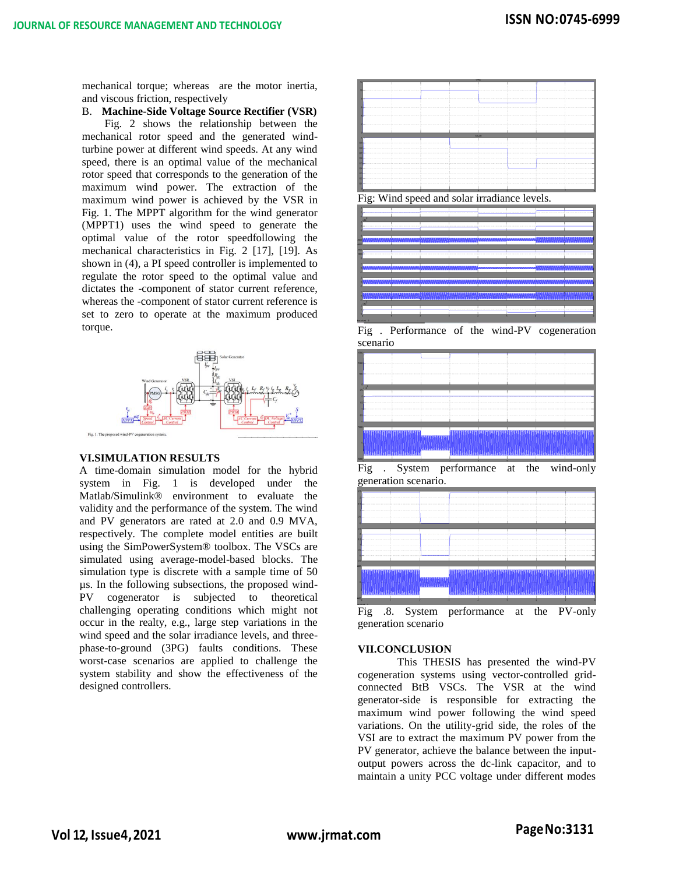mechanical torque; whereas are the motor inertia, and viscous friction, respectively

B. **Machine-Side Voltage Source Rectifier (VSR)** Fig. 2 shows the relationship between the mechanical rotor speed and the generated windturbine power at different wind speeds. At any wind speed, there is an optimal value of the mechanical rotor speed that corresponds to the generation of the maximum wind power. The extraction of the maximum wind power is achieved by the VSR in Fig. 1. The MPPT algorithm for the wind generator (MPPT1) uses the wind speed to generate the optimal value of the rotor speedfollowing the mechanical characteristics in Fig. 2 [17], [19]. As shown in (4), a PI speed controller is implemented to regulate the rotor speed to the optimal value and dictates the -component of stator current reference, whereas the -component of stator current reference is set to zero to operate at the maximum produced torque.



#### **VI.SIMULATION RESULTS**

A time-domain simulation model for the hybrid system in Fig. 1 is developed under the Matlab/Simulink® environment to evaluate the validity and the performance of the system. The wind and PV generators are rated at 2.0 and 0.9 MVA, respectively. The complete model entities are built using the SimPowerSystem® toolbox. The VSCs are simulated using average-model-based blocks. The simulation type is discrete with a sample time of 50 µs. In the following subsections, the proposed wind-PV cogenerator is subjected to theoretical challenging operating conditions which might not occur in the realty, e.g., large step variations in the wind speed and the solar irradiance levels, and threephase-to-ground (3PG) faults conditions. These worst-case scenarios are applied to challenge the system stability and show the effectiveness of the designed controllers.



Fig . Performance of the wind-PV cogeneration scenario



Fig . System performance at the wind-only generation scenario.



Fig .8. System performance at the PV-only generation scenario

#### **VII.CONCLUSION**

This THESIS has presented the wind-PV cogeneration systems using vector-controlled gridconnected BtB VSCs. The VSR at the wind generator-side is responsible for extracting the maximum wind power following the wind speed variations. On the utility-grid side, the roles of the VSI are to extract the maximum PV power from the PV generator, achieve the balance between the inputoutput powers across the dc-link capacitor, and to maintain a unity PCC voltage under different modes